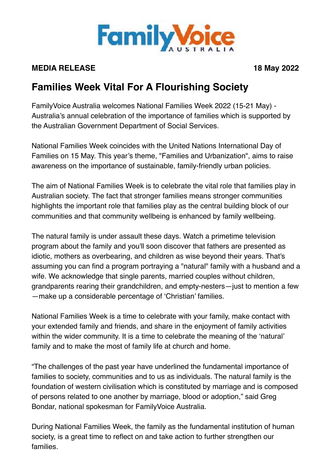

## **MEDIA RELEASE** 18 May 2022

## **Families Week Vital For A Flourishing Society**

FamilyVoice Australia welcomes National Families Week 2022 (15-21 May) - Australia's annual celebration of the importance of families which is supported by the Australian Government Department of Social Services.

National Families Week coincides with the United Nations International Day of Families on 15 May. This year's theme, "Families and Urbanization", aims to raise awareness on the importance of sustainable, family-friendly urban policies.

The aim of National Families Week is to celebrate the vital role that families play in Australian society. The fact that stronger families means stronger communities highlights the important role that families play as the central building block of our communities and that community wellbeing is enhanced by family wellbeing.

The natural family is under assault these days. Watch a primetime television program about the family and you'll soon discover that fathers are presented as idiotic, mothers as overbearing, and children as wise beyond their years. That's assuming you can find a program portraying a "natural" family with a husband and a wife. We acknowledge that single parents, married couples without children, grandparents rearing their grandchildren, and empty-nesters—just to mention a few —make up a considerable percentage of 'Christian' families.

National Families Week is a time to celebrate with your family, make contact with your extended family and friends, and share in the enjoyment of family activities within the wider community. It is a time to celebrate the meaning of the 'natural' family and to make the most of family life at church and home.

"The challenges of the past year have underlined the fundamental importance of families to society, communities and to us as individuals. The natural family is the foundation of western civilisation which is constituted by marriage and is composed of persons related to one another by marriage, blood or adoption," said Greg Bondar, national spokesman for FamilyVoice Australia.

During National Families Week, the family as the fundamental institution of human society, is a great time to reflect on and take action to further strengthen our families.